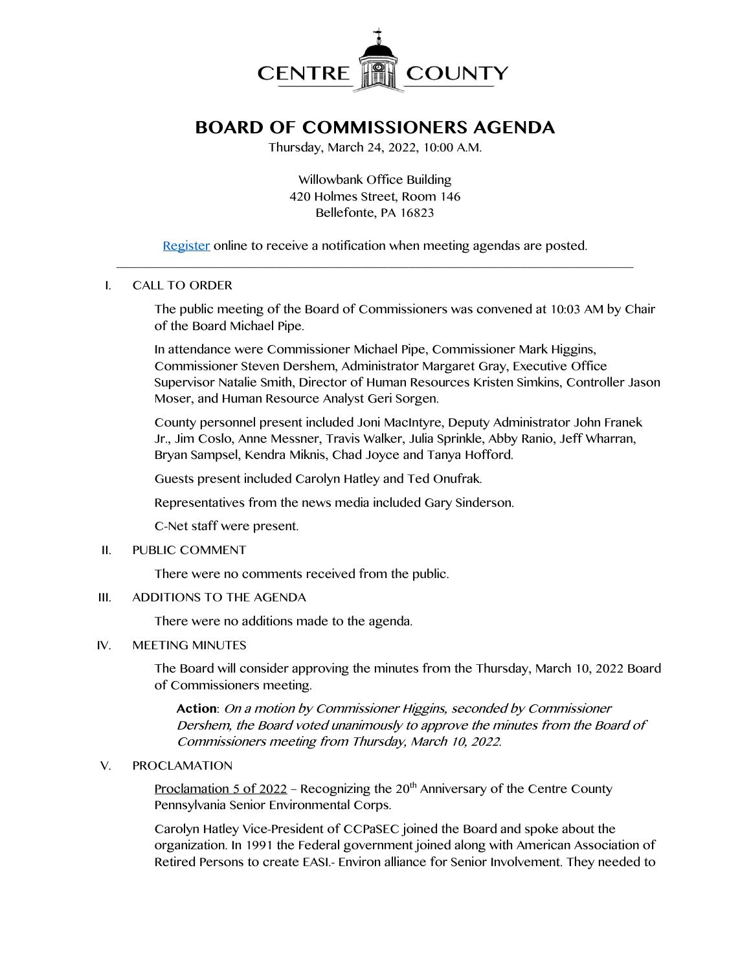

# **BOARD OF COMMISSIONERS AGENDA**

Thursday, March 24, 2022, 10:00 A.M.

Willowbank Office Building 420 Holmes Street, Room 146 Bellefonte, PA 16823

[Register](http://www.centrecountypa.gov/AgendaCenter) online to receive a notification when meeting agendas are posted.  $\mathcal{L} = \{ \mathcal{L} = \{ \mathcal{L} \mid \mathcal{L} = \{ \mathcal{L} \mid \mathcal{L} = \{ \mathcal{L} \mid \mathcal{L} = \{ \mathcal{L} \mid \mathcal{L} = \{ \mathcal{L} \mid \mathcal{L} = \{ \mathcal{L} \mid \mathcal{L} = \{ \mathcal{L} \mid \mathcal{L} = \{ \mathcal{L} \mid \mathcal{L} = \{ \mathcal{L} \mid \mathcal{L} = \{ \mathcal{L} \mid \mathcal{L} = \{ \mathcal{L} \mid \mathcal{L} = \{ \mathcal{L} \mid \mathcal{L} =$ 

# I. CALL TO ORDER

The public meeting of the Board of Commissioners was convened at 10:03 AM by Chair of the Board Michael Pipe.

In attendance were Commissioner Michael Pipe, Commissioner Mark Higgins, Commissioner Steven Dershem, Administrator Margaret Gray, Executive Office Supervisor Natalie Smith, Director of Human Resources Kristen Simkins, Controller Jason Moser, and Human Resource Analyst Geri Sorgen.

County personnel present included Joni MacIntyre, Deputy Administrator John Franek Jr., Jim Coslo, Anne Messner, Travis Walker, Julia Sprinkle, Abby Ranio, Jeff Wharran, Bryan Sampsel, Kendra Miknis, Chad Joyce and Tanya Hofford.

Guests present included Carolyn Hatley and Ted Onufrak.

Representatives from the news media included Gary Sinderson.

C-Net staff were present.

### II. PUBLIC COMMENT

There were no comments received from the public.

### III. ADDITIONS TO THE AGENDA

There were no additions made to the agenda.

### IV. MEETING MINUTES

The Board will consider approving the minutes from the Thursday, March 10, 2022 Board of Commissioners meeting.

**Action**: On a motion by Commissioner Higgins, seconded by Commissioner Dershem, the Board voted unanimously to approve the minutes from the Board of Commissioners meeting from Thursday, March 10, 2022.

### V. PROCLAMATION

<u>Proclamation 5 of 2022</u> – Recognizing the 20<sup>th</sup> Anniversary of the Centre County Pennsylvania Senior Environmental Corps.

Carolyn Hatley Vice-President of CCPaSEC joined the Board and spoke about the organization. In 1991 the Federal government joined along with American Association of Retired Persons to create EASI.- Environ alliance for Senior Involvement. They needed to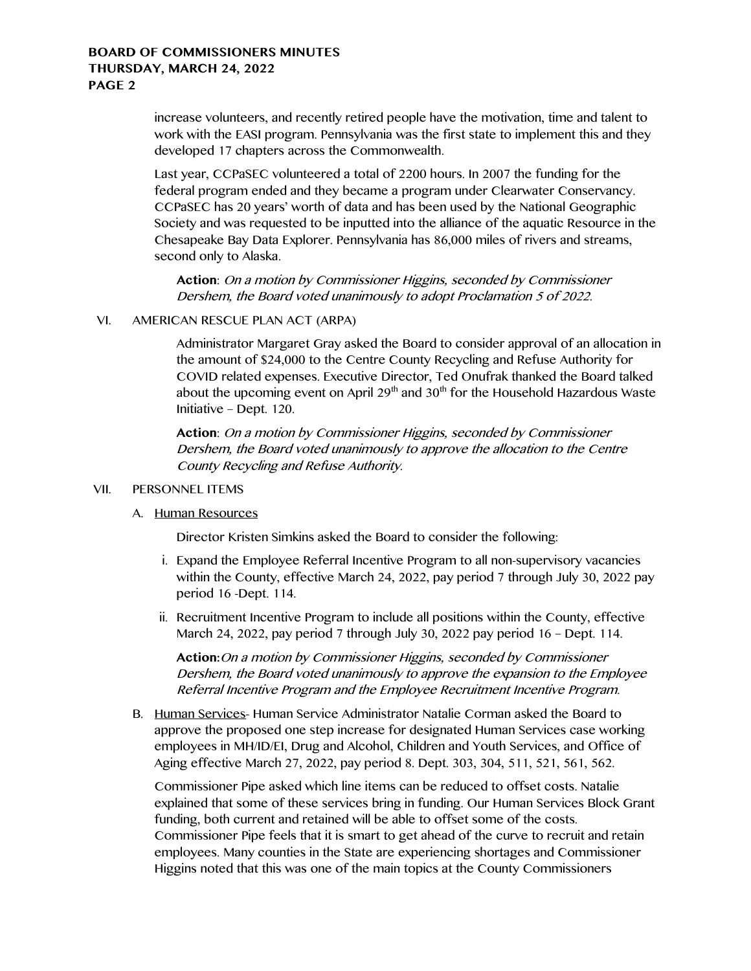increase volunteers, and recently retired people have the motivation, time and talent to work with the EASI program. Pennsylvania was the first state to implement this and they developed 17 chapters across the Commonwealth.

Last year, CCPaSEC volunteered a total of 2200 hours. In 2007 the funding for the federal program ended and they became a program under Clearwater Conservancy. CCPaSEC has 20 years' worth of data and has been used by the National Geographic Society and was requested to be inputted into the alliance of the aquatic Resource in the Chesapeake Bay Data Explorer. Pennsylvania has 86,000 miles of rivers and streams, second only to Alaska.

**Action**: On a motion by Commissioner Higgins, seconded by Commissioner Dershem, the Board voted unanimously to adopt Proclamation 5 of 2022.

#### VI. AMERICAN RESCUE PLAN ACT (ARPA)

Administrator Margaret Gray asked the Board to consider approval of an allocation in the amount of \$24,000 to the Centre County Recycling and Refuse Authority for COVID related expenses. Executive Director, Ted Onufrak thanked the Board talked about the upcoming event on April  $29<sup>th</sup>$  and  $30<sup>th</sup>$  for the Household Hazardous Waste Initiative – Dept. 120.

**Action**: On a motion by Commissioner Higgins, seconded by Commissioner Dershem, the Board voted unanimously to approve the allocation to the Centre County Recycling and Refuse Authority.

#### VII. PERSONNEL ITEMS

#### A. Human Resources

Director Kristen Simkins asked the Board to consider the following:

- i. Expand the Employee Referral Incentive Program to all non-supervisory vacancies within the County, effective March 24, 2022, pay period 7 through July 30, 2022 pay period 16 -Dept. 114.
- ii. Recruitment Incentive Program to include all positions within the County, effective March 24, 2022, pay period 7 through July 30, 2022 pay period 16 – Dept. 114.

**Action:**On a motion by Commissioner Higgins, seconded by Commissioner Dershem, the Board voted unanimously to approve the expansion to the Employee Referral Incentive Program and the Employee Recruitment Incentive Program.

B. Human Services- Human Service Administrator Natalie Corman asked the Board to approve the proposed one step increase for designated Human Services case working employees in MH/ID/EI, Drug and Alcohol, Children and Youth Services, and Office of Aging effective March 27, 2022, pay period 8. Dept. 303, 304, 511, 521, 561, 562.

Commissioner Pipe asked which line items can be reduced to offset costs. Natalie explained that some of these services bring in funding. Our Human Services Block Grant funding, both current and retained will be able to offset some of the costs. Commissioner Pipe feels that it is smart to get ahead of the curve to recruit and retain employees. Many counties in the State are experiencing shortages and Commissioner Higgins noted that this was one of the main topics at the County Commissioners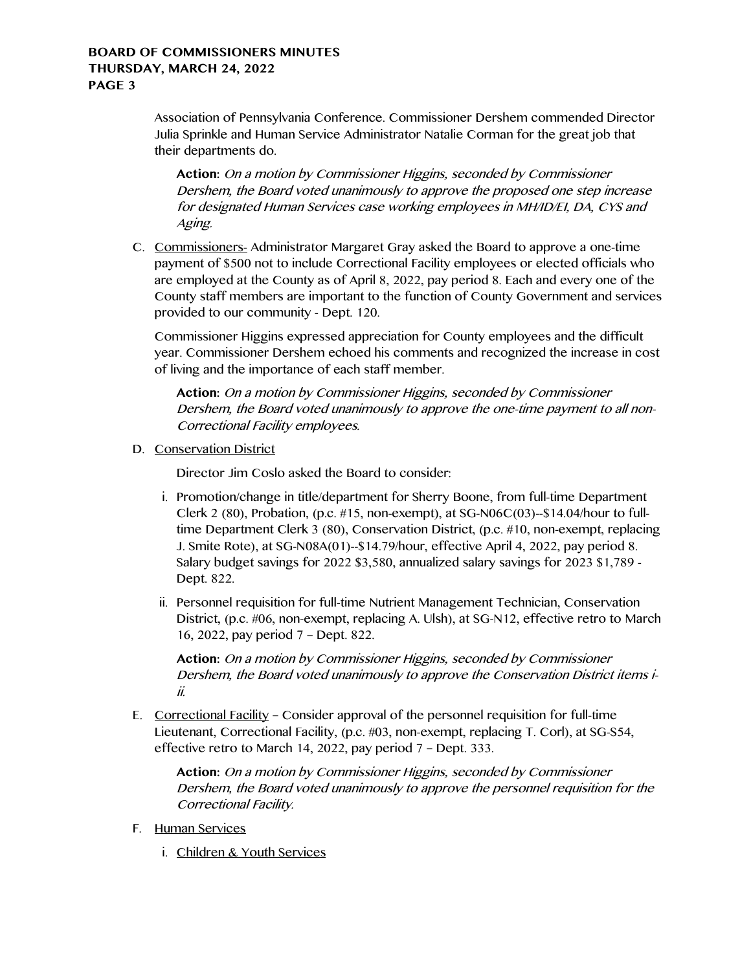Association of Pennsylvania Conference. Commissioner Dershem commended Director Julia Sprinkle and Human Service Administrator Natalie Corman for the great job that their departments do.

**Action:** On a motion by Commissioner Higgins, seconded by Commissioner Dershem, the Board voted unanimously to approve the proposed one step increase for designated Human Services case working employees in MH/ID/EI, DA, CYS and Aging.

C. Commissioners- Administrator Margaret Gray asked the Board to approve a one-time payment of \$500 not to include Correctional Facility employees or elected officials who are employed at the County as of April 8, 2022, pay period 8. Each and every one of the County staff members are important to the function of County Government and services provided to our community - Dept. 120.

Commissioner Higgins expressed appreciation for County employees and the difficult year. Commissioner Dershem echoed his comments and recognized the increase in cost of living and the importance of each staff member.

**Action:** On a motion by Commissioner Higgins, seconded by Commissioner Dershem, the Board voted unanimously to approve the one-time payment to all non-Correctional Facility employees.

D. Conservation District

Director Jim Coslo asked the Board to consider:

- i. Promotion/change in title/department for Sherry Boone, from full-time Department Clerk 2 (80), Probation, (p.c.  $\#15$ , non-exempt), at SG-N06C(03)- $\#14.04$ /hour to fulltime Department Clerk 3 (80), Conservation District, (p.c. #10, non-exempt, replacing J. Smite Rote), at SG-N08A(01)--\$14.79/hour, effective April 4, 2022, pay period 8. Salary budget savings for 2022 \$3,580, annualized salary savings for 2023 \$1,789 - Dept. 822.
- ii. Personnel requisition for full-time Nutrient Management Technician, Conservation District, (p.c. #06, non-exempt, replacing A. Ulsh), at SG-N12, effective retro to March 16, 2022, pay period 7 – Dept. 822.

**Action:** On a motion by Commissioner Higgins, seconded by Commissioner Dershem, the Board voted unanimously to approve the Conservation District items iii.

E. Correctional Facility – Consider approval of the personnel requisition for full-time Lieutenant, Correctional Facility, (p.c. #03, non-exempt, replacing T. Corl), at SG-S54, effective retro to March 14, 2022, pay period 7 – Dept. 333.

**Action:** On a motion by Commissioner Higgins, seconded by Commissioner Dershem, the Board voted unanimously to approve the personnel requisition for the Correctional Facility.

- F. Human Services
	- i. Children & Youth Services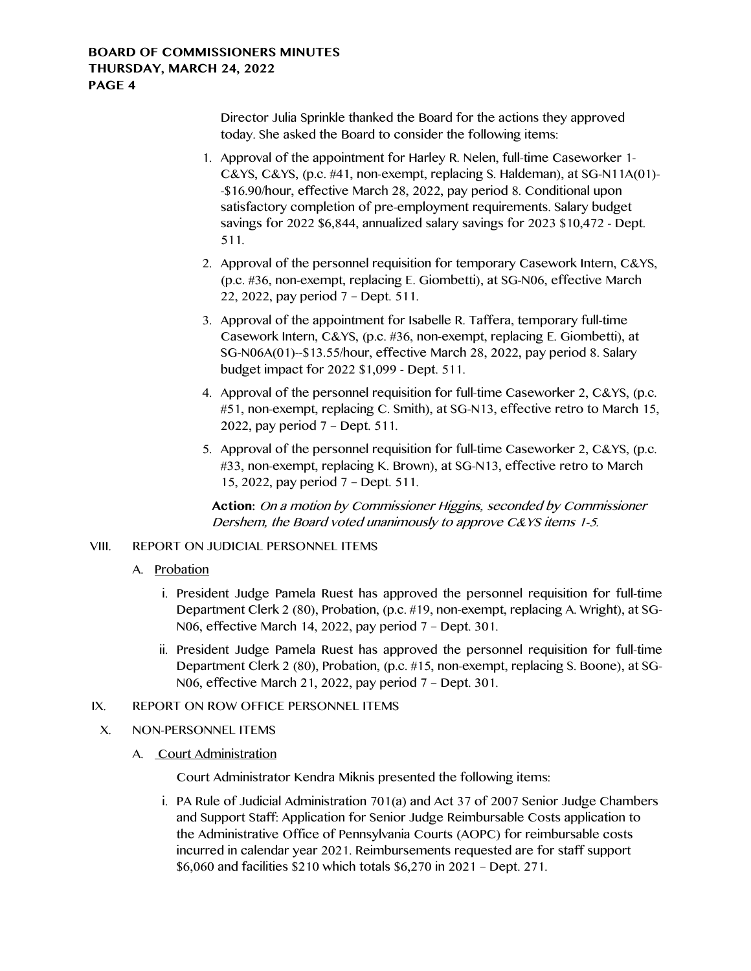Director Julia Sprinkle thanked the Board for the actions they approved today. She asked the Board to consider the following items:

- 1. Approval of the appointment for Harley R. Nelen, full-time Caseworker 1- C&YS, C&YS, (p.c. #41, non-exempt, replacing S. Haldeman), at SG-N11A(01)- -\$16.90/hour, effective March 28, 2022, pay period 8. Conditional upon satisfactory completion of pre-employment requirements. Salary budget savings for 2022 \$6,844, annualized salary savings for 2023 \$10,472 - Dept. 511.
- 2. Approval of the personnel requisition for temporary Casework Intern, C&YS, (p.c. #36, non-exempt, replacing E. Giombetti), at SG-N06, effective March 22, 2022, pay period 7 – Dept. 511.
- 3. Approval of the appointment for Isabelle R. Taffera, temporary full-time Casework Intern, C&YS, (p.c. #36, non-exempt, replacing E. Giombetti), at SG-N06A(01)--\$13.55/hour, effective March 28, 2022, pay period 8. Salary budget impact for 2022 \$1,099 - Dept. 511.
- 4. Approval of the personnel requisition for full-time Caseworker 2, C&YS, (p.c. #51, non-exempt, replacing C. Smith), at SG-N13, effective retro to March 15, 2022, pay period 7 – Dept. 511.
- 5. Approval of the personnel requisition for full-time Caseworker 2, C&YS, (p.c. #33, non-exempt, replacing K. Brown), at SG-N13, effective retro to March 15, 2022, pay period 7 – Dept. 511.

**Action:** On a motion by Commissioner Higgins, seconded by Commissioner Dershem, the Board voted unanimously to approve C&YS items 1-5.

# VIII. REPORT ON JUDICIAL PERSONNEL ITEMS

- A. Probation
	- i. President Judge Pamela Ruest has approved the personnel requisition for full-time Department Clerk 2 (80), Probation, (p.c. #19, non-exempt, replacing A. Wright), at SG-N06, effective March 14, 2022, pay period 7 – Dept. 301.
	- ii. President Judge Pamela Ruest has approved the personnel requisition for full-time Department Clerk 2 (80), Probation, (p.c. #15, non-exempt, replacing S. Boone), at SG-N06, effective March 21, 2022, pay period 7 – Dept. 301.

# IX. REPORT ON ROW OFFICE PERSONNEL ITEMS

X. NON-PERSONNEL ITEMS

# A. Court Administration

Court Administrator Kendra Miknis presented the following items:

i. PA Rule of Judicial Administration 701(a) and Act 37 of 2007 Senior Judge Chambers and Support Staff: Application for Senior Judge Reimbursable Costs application to the Administrative Office of Pennsylvania Courts (AOPC) for reimbursable costs incurred in calendar year 2021. Reimbursements requested are for staff support \$6,060 and facilities \$210 which totals \$6,270 in 2021 – Dept. 271.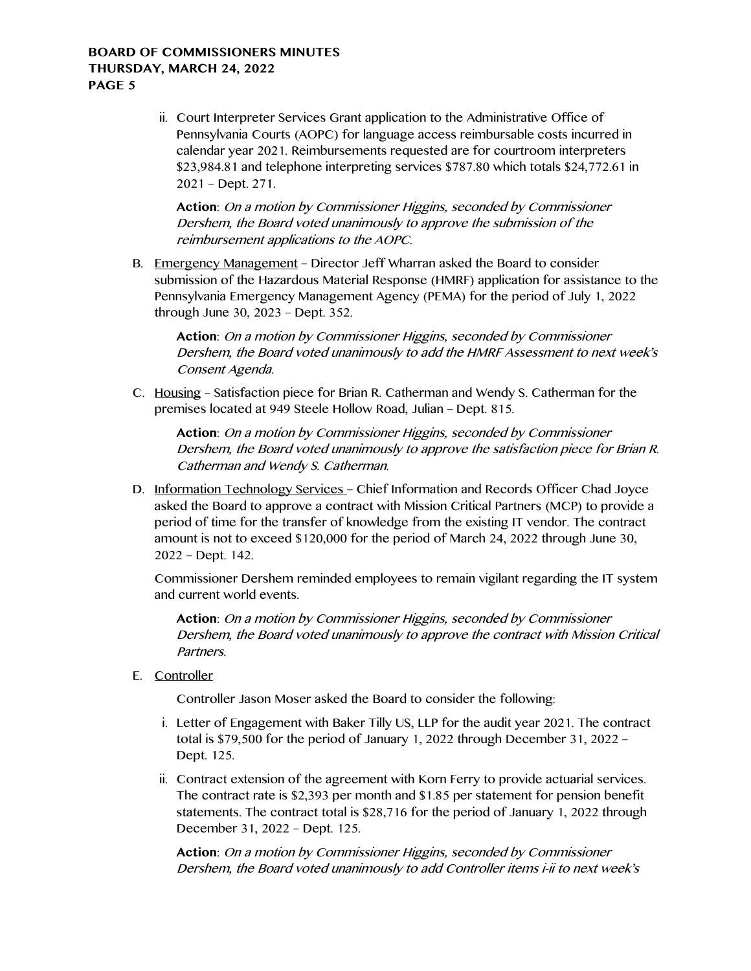ii. Court Interpreter Services Grant application to the Administrative Office of Pennsylvania Courts (AOPC) for language access reimbursable costs incurred in calendar year 2021. Reimbursements requested are for courtroom interpreters \$23,984.81 and telephone interpreting services \$787.80 which totals \$24,772.61 in 2021 – Dept. 271.

**Action**: On a motion by Commissioner Higgins, seconded by Commissioner Dershem, the Board voted unanimously to approve the submission of the reimbursement applications to the AOPC.

B. Emergency Management – Director Jeff Wharran asked the Board to consider submission of the Hazardous Material Response (HMRF) application for assistance to the Pennsylvania Emergency Management Agency (PEMA) for the period of July 1, 2022 through June 30, 2023 – Dept. 352.

**Action**: On a motion by Commissioner Higgins, seconded by Commissioner Dershem, the Board voted unanimously to add the HMRF Assessment to next week's Consent Agenda.

C. Housing – Satisfaction piece for Brian R. Catherman and Wendy S. Catherman for the premises located at 949 Steele Hollow Road, Julian – Dept. 815.

**Action**: On a motion by Commissioner Higgins, seconded by Commissioner Dershem, the Board voted unanimously to approve the satisfaction piece for Brian R. Catherman and Wendy S. Catherman.

D. Information Technology Services - Chief Information and Records Officer Chad Joyce asked the Board to approve a contract with Mission Critical Partners (MCP) to provide a period of time for the transfer of knowledge from the existing IT vendor. The contract amount is not to exceed \$120,000 for the period of March 24, 2022 through June 30, 2022 – Dept. 142.

Commissioner Dershem reminded employees to remain vigilant regarding the IT system and current world events.

**Action**: On a motion by Commissioner Higgins, seconded by Commissioner Dershem, the Board voted unanimously to approve the contract with Mission Critical Partners.

E. Controller

Controller Jason Moser asked the Board to consider the following:

- i. Letter of Engagement with Baker Tilly US, LLP for the audit year 2021. The contract total is \$79,500 for the period of January 1, 2022 through December 31, 2022 – Dept. 125.
- ii. Contract extension of the agreement with Korn Ferry to provide actuarial services. The contract rate is \$2,393 per month and \$1.85 per statement for pension benefit statements. The contract total is \$28,716 for the period of January 1, 2022 through December 31, 2022 – Dept. 125.

**Action**: On a motion by Commissioner Higgins, seconded by Commissioner Dershem, the Board voted unanimously to add Controller items i-ii to next week's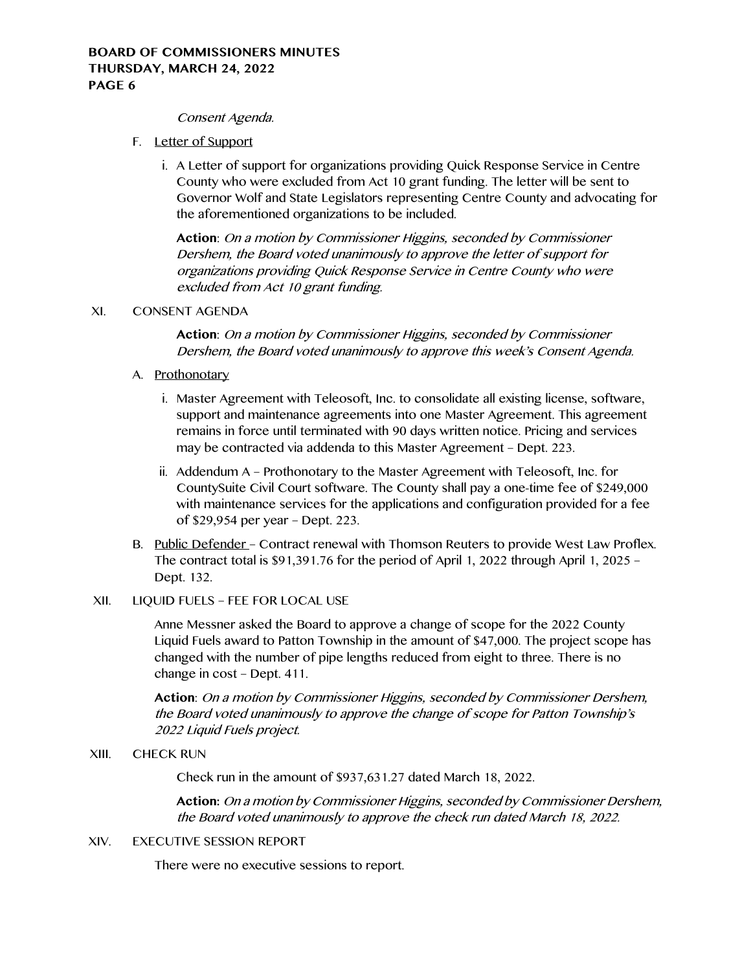#### Consent Agenda.

- F. Letter of Support
	- i. A Letter of support for organizations providing Quick Response Service in Centre County who were excluded from Act 10 grant funding. The letter will be sent to Governor Wolf and State Legislators representing Centre County and advocating for the aforementioned organizations to be included.

**Action**: On a motion by Commissioner Higgins, seconded by Commissioner Dershem, the Board voted unanimously to approve the letter of support for organizations providing Quick Response Service in Centre County who were excluded from Act 10 grant funding.

# XI. CONSENT AGENDA

**Action**: On a motion by Commissioner Higgins, seconded by Commissioner Dershem, the Board voted unanimously to approve this week's Consent Agenda.

# A. Prothonotary

- i. Master Agreement with Teleosoft, Inc. to consolidate all existing license, software, support and maintenance agreements into one Master Agreement. This agreement remains in force until terminated with 90 days written notice. Pricing and services may be contracted via addenda to this Master Agreement – Dept. 223.
- ii. Addendum A Prothonotary to the Master Agreement with Teleosoft, Inc. for CountySuite Civil Court software. The County shall pay a one-time fee of \$249,000 with maintenance services for the applications and configuration provided for a fee of \$29,954 per year – Dept. 223.
- B. Public Defender Contract renewal with Thomson Reuters to provide West Law Proflex. The contract total is \$91,391.76 for the period of April 1, 2022 through April 1, 2025 – Dept. 132.

# XII. LIQUID FUELS – FEE FOR LOCAL USE

Anne Messner asked the Board to approve a change of scope for the 2022 County Liquid Fuels award to Patton Township in the amount of \$47,000. The project scope has changed with the number of pipe lengths reduced from eight to three. There is no change in cost – Dept. 411.

**Action**: On a motion by Commissioner Higgins, seconded by Commissioner Dershem, the Board voted unanimously to approve the change of scope for Patton Township's 2022 Liquid Fuels project.

### XIII. CHECK RUN

Check run in the amount of \$937,631.27 dated March 18, 2022.

**Action:** On a motion by Commissioner Higgins, seconded by Commissioner Dershem, the Board voted unanimously to approve the check run dated March 18, 2022.

### XIV. EXECUTIVE SESSION REPORT

There were no executive sessions to report.